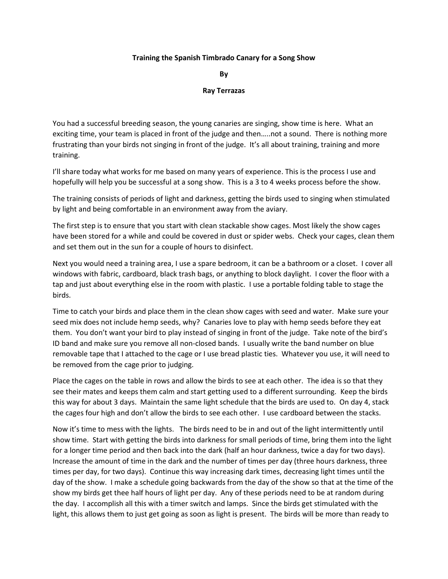## **Training the Spanish Timbrado Canary for a Song Show**

**By**

## **Ray Terrazas**

You had a successful breeding season, the young canaries are singing, show time is here. What an exciting time, your team is placed in front of the judge and then…..not a sound. There is nothing more frustrating than your birds not singing in front of the judge. It's all about training, training and more training.

I'll share today what works for me based on many years of experience. This is the process I use and hopefully will help you be successful at a song show. This is a 3 to 4 weeks process before the show.

The training consists of periods of light and darkness, getting the birds used to singing when stimulated by light and being comfortable in an environment away from the aviary.

The first step is to ensure that you start with clean stackable show cages. Most likely the show cages have been stored for a while and could be covered in dust or spider webs. Check your cages, clean them and set them out in the sun for a couple of hours to disinfect.

Next you would need a training area, I use a spare bedroom, it can be a bathroom or a closet. I cover all windows with fabric, cardboard, black trash bags, or anything to block daylight. I cover the floor with a tap and just about everything else in the room with plastic. I use a portable folding table to stage the birds.

Time to catch your birds and place them in the clean show cages with seed and water. Make sure your seed mix does not include hemp seeds, why? Canaries love to play with hemp seeds before they eat them. You don't want your bird to play instead of singing in front of the judge. Take note of the bird's ID band and make sure you remove all non-closed bands. I usually write the band number on blue removable tape that I attached to the cage or I use bread plastic ties. Whatever you use, it will need to be removed from the cage prior to judging.

Place the cages on the table in rows and allow the birds to see at each other. The idea is so that they see their mates and keeps them calm and start getting used to a different surrounding. Keep the birds this way for about 3 days. Maintain the same light schedule that the birds are used to. On day 4, stack the cages four high and don't allow the birds to see each other. I use cardboard between the stacks.

Now it's time to mess with the lights. The birds need to be in and out of the light intermittently until show time. Start with getting the birds into darkness for small periods of time, bring them into the light for a longer time period and then back into the dark (half an hour darkness, twice a day for two days). Increase the amount of time in the dark and the number of times per day (three hours darkness, three times per day, for two days). Continue this way increasing dark times, decreasing light times until the day of the show. I make a schedule going backwards from the day of the show so that at the time of the show my birds get thee half hours of light per day. Any of these periods need to be at random during the day. I accomplish all this with a timer switch and lamps. Since the birds get stimulated with the light, this allows them to just get going as soon as light is present. The birds will be more than ready to